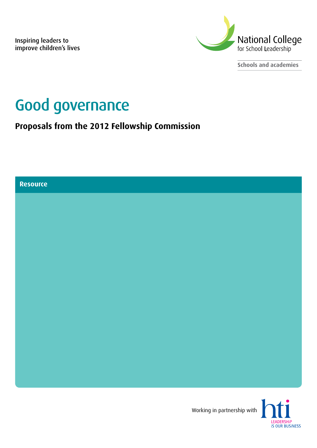Inspiring leaders to improve children's lives



**Schools and academies**

# Good governance

**Proposals from the 2012 Fellowship Commission**

**Resource**

Working in partnership with

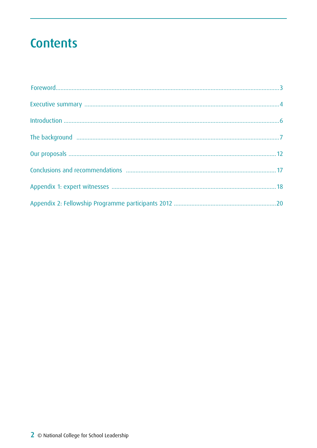# **Contents**

| The background manufactured and an anti-manufactured and an analysis of the background manufactured and an |  |
|------------------------------------------------------------------------------------------------------------|--|
|                                                                                                            |  |
|                                                                                                            |  |
|                                                                                                            |  |
|                                                                                                            |  |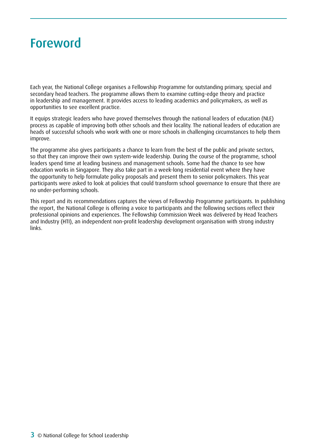# <span id="page-2-0"></span>Foreword

Each year, the National College organises a Fellowship Programme for outstanding primary, special and secondary head teachers. The programme allows them to examine cutting-edge theory and practice in leadership and management. It provides access to leading academics and policymakers, as well as opportunities to see excellent practice.

It equips strategic leaders who have proved themselves through the national leaders of education (NLE) process as capable of improving both other schools and their locality. The national leaders of education are heads of successful schools who work with one or more schools in challenging circumstances to help them improve.

The programme also gives participants a chance to learn from the best of the public and private sectors, so that they can improve their own system-wide leadership. During the course of the programme, school leaders spend time at leading business and management schools. Some had the chance to see how education works in Singapore. They also take part in a week-long residential event where they have the opportunity to help formulate policy proposals and present them to senior policymakers. This year participants were asked to look at policies that could transform school governance to ensure that there are no under-performing schools.

This report and its recommendations captures the views of Fellowship Programme participants. In publishing the report, the National College is offering a voice to participants and the following sections reflect their professional opinions and experiences. The Fellowship Commission Week was delivered by Head Teachers and Industry (HTI), an independent non-profit leadership development organisation with strong industry links.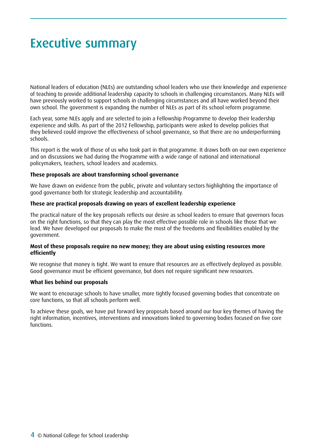# <span id="page-3-0"></span>Executive summary

National leaders of education (NLEs) are outstanding school leaders who use their knowledge and experience of teaching to provide additional leadership capacity to schools in challenging circumstances. Many NLEs will have previously worked to support schools in challenging circumstances and all have worked beyond their own school. The government is expanding the number of NLEs as part of its school reform programme.

Each year, some NLEs apply and are selected to join a Fellowship Programme to develop their leadership experience and skills. As part of the 2012 Fellowship, participants were asked to develop policies that they believed could improve the effectiveness of school governance, so that there are no underperforming schools.

This report is the work of those of us who took part in that programme. It draws both on our own experience and on discussions we had during the Programme with a wide range of national and international policymakers, teachers, school leaders and academics.

#### **These proposals are about transforming school governance**

We have drawn on evidence from the public, private and voluntary sectors highlighting the importance of good governance both for strategic leadership and accountability.

#### **These are practical proposals drawing on years of excellent leadership experience**

The practical nature of the key proposals reflects our desire as school leaders to ensure that governors focus on the right functions, so that they can play the most effective possible role in schools like those that we lead. We have developed our proposals to make the most of the freedoms and flexibilities enabled by the government.

#### **Most of these proposals require no new money; they are about using existing resources more efficiently**

We recognise that money is tight. We want to ensure that resources are as effectively deployed as possible. Good governance must be efficient governance, but does not require significant new resources.

#### **What lies behind our proposals**

We want to encourage schools to have smaller, more tightly focused governing bodies that concentrate on core functions, so that all schools perform well.

To achieve these goals, we have put forward key proposals based around our four key themes of having the right information, incentives, interventions and innovations linked to governing bodies focused on five core functions.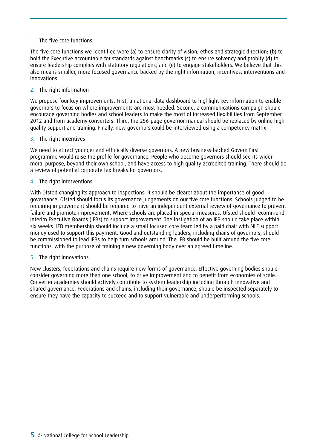### 1. The five core functions

The five core functions we identified were (a) to ensure clarity of vision, ethos and strategic direction; (b) to hold the Executive accountable for standards against benchmarks (c) to ensure solvency and probity (d) to ensure leadership complies with statutory regulations; and (e) to engage stakeholders. We believe that this also means smaller, more focused governance backed by the right information, incentives, interventions and innovations.

2. The right information

We propose four key improvements. First, a national data dashboard to highlight key information to enable governors to focus on where improvements are most needed. Second, a communications campaign should encourage governing bodies and school leaders to make the most of increased flexibilities from September 2012 and from academy converters. Third, the 256-page governor manual should be replaced by online high quality support and training. Finally, new governors could be interviewed using a competency matrix.

#### 3. The right incentives

We need to attract younger and ethnically diverse governors. A new business-backed Govern First programme would raise the profile for governance. People who become governors should see its wider moral purpose, beyond their own school, and have access to high quality accredited training. There should be a review of potential corporate tax breaks for governors.

#### 4. The right interventions

With Ofsted changing its approach to inspections, it should be clearer about the importance of good governance. Ofsted should focus its governance judgements on our five core functions. Schools judged to be requiring improvement should be required to have an independent external review of governance to prevent failure and promote improvement. Where schools are placed in special measures, Ofsted should recommend Interim Executive Boards (IEBs) to support improvement. The instigation of an IEB should take place within six weeks. IEB membership should include a small focused core team led by a paid chair with NLE support money used to support this payment. Good and outstanding leaders, including chairs of governors, should be commissioned to lead IEBs to help turn schools around. The IEB should be built around the five core functions, with the purpose of training a new governing body over an agreed timeline.

#### 5. The right innovations

New clusters, federations and chains require new forms of governance. Effective governing bodies should consider governing more than one school, to drive improvement and to benefit from economies of scale. Converter academies should actively contribute to system leadership including through innovative and shared governance. Federations and chains, including their governance, should be inspected separately to ensure they have the capacity to succeed and to support vulnerable and underperforming schools.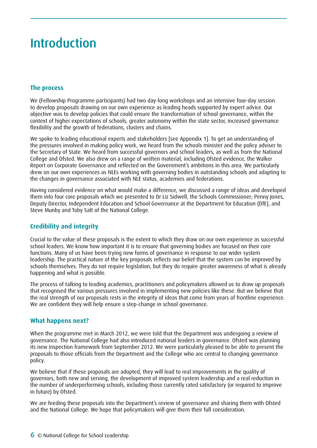# <span id="page-5-0"></span>Introduction

# **The process**

We (Fellowship Programme participants) had two day-long workshops and an intensive four-day session to develop proposals drawing on our own experience as leading heads supported by expert advice. Our objective was to develop policies that could ensure the transformation of school governance, within the context of higher expectations of schools, greater autonomy within the state sector, increased governance flexibility and the growth of federations, clusters and chains.

We spoke to leading educational experts and stakeholders [see Appendix 1]. To get an understanding of the pressures involved in making policy work, we heard from the schools minister and the policy adviser to the Secretary of State. We heard from successful governors and school leaders, as well as from the National College and Ofsted. We also drew on a range of written material, including Ofsted evidence, the Walker Report on Corporate Governance and reflected on the Government's ambitions in this area. We particularly drew on our own experiences as NLEs working with governing bodies in outstanding schools and adapting to the changes in governance associated with NLE status, academies and federations.

Having considered evidence on what would make a difference, we discussed a range of ideas and developed them into four core proposals which we presented to Dr Liz Sidwell, the Schools Commissioner; Penny Jones, Deputy Director, Independent Education and School Governance at the Department for Education (DfE), and Steve Munby and Toby Salt of the National College.

# **Credibility and integrity**

Crucial to the value of these proposals is the extent to which they draw on our own experience as successful school leaders. We know how important it is to ensure that governing bodies are focused on their core functions. Many of us have been trying new forms of governance in response to our wider system leadership. The practical nature of the key proposals reflects our belief that the system can be improved by schools themselves. They do not require legislation, but they do require greater awareness of what is already happening and what is possible.

The process of talking to leading academics, practitioners and policymakers allowed us to draw up proposals that recognised the various pressures involved in implementing new policies like these. But we believe that the real strength of our proposals rests in the integrity of ideas that come from years of frontline experience. We are confident they will help ensure a step-change in school governance.

# **What happens next?**

When the programme met in March 2012, we were told that the Department was undergoing a review of governance. The National College had also introduced national leaders in governance. Ofsted was planning its new inspection framework from September 2012. We were particularly pleased to be able to present the proposals to those officials from the Department and the College who are central to changing governance policy.

We believe that if these proposals are adopted, they will lead to real improvements in the quality of governors, both new and serving, the development of improved system leadership and a real reduction in the number of underperforming schools, including those currently rated satisfactory (or required to improve in future) by Ofsted.

We are feeding these proposals into the Department's review of governance and sharing them with Ofsted and the National College. We hope that policymakers will give them their full consideration.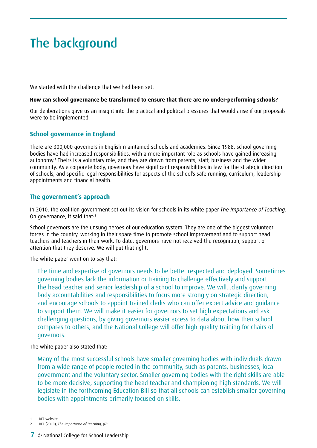# <span id="page-6-0"></span>The background

We started with the challenge that we had been set:

#### **How can school governance be transformed to ensure that there are no under-performing schools?**

Our deliberations gave us an insight into the practical and political pressures that would arise if our proposals were to be implemented.

# **School governance in England**

There are 300,000 governors in English maintained schools and academies. Since 1988, school governing bodies have had increased responsibilities, with a more important role as schools have gained increasing autonomy.1 Theirs is a voluntary role, and they are drawn from parents, staff, business and the wider community. As a corporate body, governors have significant responsibilities in law for the strategic direction of schools, and specific legal responsibilities for aspects of the school's safe running, curriculum, leadership appointments and financial health.

# **The government's approach**

In 2010, the coalition government set out its vision for schools in its white paper *The Importance of Teaching*. On governance, it said that:2

School governors are the unsung heroes of our education system. They are one of the biggest volunteer forces in the country, working in their spare time to promote school improvement and to support head teachers and teachers in their work. To date, governors have not received the recognition, support or attention that they deserve. We will put that right.

The white paper went on to say that:

The time and expertise of governors needs to be better respected and deployed. Sometimes governing bodies lack the information or training to challenge effectively and support the head teacher and senior leadership of a school to improve. We will...clarify governing body accountabilities and responsibilities to focus more strongly on strategic direction, and encourage schools to appoint trained clerks who can offer expert advice and guidance to support them. We will make it easier for governors to set high expectations and ask challenging questions, by giving governors easier access to data about how their school compares to others, and the National College will offer high-quality training for chairs of governors.

The white paper also stated that:

Many of the most successful schools have smaller governing bodies with individuals drawn from a wide range of people rooted in the community, such as parents, businesses, local government and the voluntary sector. Smaller governing bodies with the right skills are able to be more decisive, supporting the head teacher and championing high standards. We will legislate in the forthcoming Education Bill so that all schools can establish smaller governing bodies with appointments primarily focused on skills.

DFF website

<sup>2</sup> DFE (2010), *The Importance of Teaching*, p71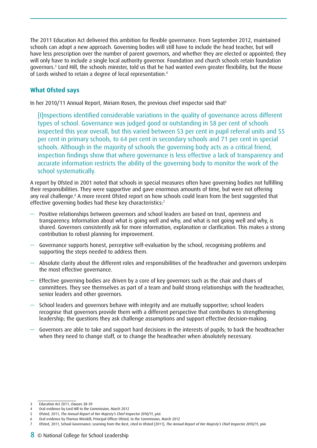The 2011 Education Act delivered this ambition for flexible governance. From September 2012, maintained schools can adopt a new approach. Governing bodies will still have to include the head teacher, but will have less prescription over the number of parent governors, and whether they are elected or appointed; they will only have to include a single local authority governor. Foundation and church schools retain foundation governors.<sup>3</sup> Lord Hill, the schools minister, told us that he had wanted even greater flexibility, but the House of Lords wished to retain a degree of local representation.4

# **What Ofsted says**

In her 2010/11 Annual Report, Miriam Rosen, the previous chief inspector said that<sup>5</sup>

[I]nspections identified considerable variations in the quality of governance across different types of school. Governance was judged good or outstanding in 58 per cent of schools inspected this year overall, but this varied between 53 per cent in pupil referral units and 55 per cent in primary schools, to 64 per cent in secondary schools and 71 per cent in special schools. Although in the majority of schools the governing body acts as a critical friend, inspection findings show that where governance is less effective a lack of transparency and accurate information restricts the ability of the governing body to monitor the work of the school systematically.

A report by Ofsted in 2001 noted that schools in special measures often have governing bodies not fulfilling their responsibilities. They were supportive and gave enormous amounts of time, but were not offering any real challenge.<sup>6</sup> A more recent Ofsted report on how schools could learn from the best suggested that effective governing bodies had these key characteristics:7

- Positive relationships between governors and school leaders are based on trust, openness and transparency. Information about what is going well and why, and what is not going well and why, is shared. Governors consistently ask for more information, explanation or clarification. This makes a strong contribution to robust planning for improvement.
- Governance supports honest, perceptive self-evaluation by the school, recognising problems and supporting the steps needed to address them.
- Absolute clarity about the different roles and responsibilities of the headteacher and governors underpins the most effective governance.
- Effective governing bodies are driven by a core of key governors such as the chair and chairs of committees. They see themselves as part of a team and build strong relationships with the headteacher, senior leaders and other governors.
- School leaders and governors behave with integrity and are mutually supportive; school leaders recognise that governors provide them with a different perspective that contributes to strengthening leadership; the questions they ask challenge assumptions and support effective decision-making.
- Governors are able to take and support hard decisions in the interests of pupils; to back the headteacher when they need to change staff, or to change the headteacher when absolutely necessary.

<sup>3</sup> Education Act 2011, clauses 38-39

<sup>4</sup> Oral evidence by Lord Hill to the Commission, March 2012

<sup>5</sup> Ofsted, 2011, *The Annual Report of Her Majesty's Chief Inspector 2010/11*, p66

<sup>6</sup> Oral evidence by Thomas Winskill, Principal Officer Ofsted, to the Commission, March 2012

<sup>7</sup> Ofsted, 2011, School Governance: Learning from the Best, cited in Ofsted (2011), *The Annual Report of Her Majesty's Chief Inspector 2010/11*, p66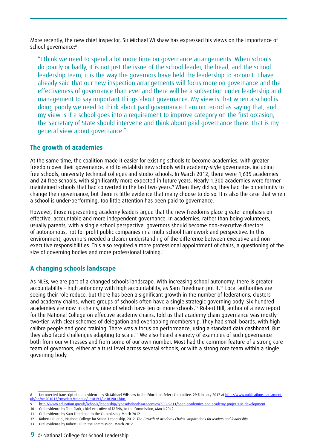More recently, the new chief inspector, Sir Michael Wilshaw has expressed his views on the importance of school governance:8

"I think we need to spend a lot more time on governance arrangements. When schools do poorly or badly, it is not just the issue of the school leader, the head, and the school leadership team; it is the way the governors have held the leadership to account. I have already said that our new inspection arrangements will focus more on governance and the effectiveness of governance than ever and there will be a subsection under leadership and management to say important things about governance. My view is that when a school is doing poorly we need to think about paid governance. I am on record as saying that, and my view is if a school goes into a requirement to improve category on the first occasion, the Secretary of State should intervene and think about paid governance there. That is my general view about governance."

# **The growth of academies**

At the same time, the coalition made it easier for existing schools to become academies, with greater freedom over their governance, and to establish new schools with academy-style governance, including free schools, university technical colleges and studio schools. In March 2012, there were 1,635 academies and 24 free schools, with significantly more expected in future years. Nearly 1,300 academies were former maintained schools that had converted in the last two years.9 When they did so, they had the opportunity to change their governance, but there is little evidence that many choose to do so. It is also the case that when a school is under-performing, too little attention has been paid to governance.

However, those representing academy leaders argue that the new freedoms place greater emphasis on effective, accountable and more independent governance. In academies, rather than being volunteers, usually parents, with a single school perspective, governors should become non-executive directors of autonomous, not-for-profit public companies in a multi-school framework and perspective. In this environment, governors needed a clearer understanding of the difference between executive and nonexecutive responsibilities. This also required a more professional appointment of chairs, a questioning of the size of governing bodies and more professional training.<sup>10</sup>

# **A changing schools landscape**

As NLEs, we are part of a changed schools landscape. With increasing school autonomy, there is greater accountability – high autonomy with high accountability, as Sam Freedman put it.<sup>11</sup> Local authorities are seeing their role reduce, but there has been a significant growth in the number of federations, clusters and academy chains, where groups of schools often have a single strategic governing body. Six hundred academies are now in chains, nine of which have ten or more schools.<sup>12</sup> Robert Hill, author of a new report for the National College on effective academy chains, told us that academy chain governance was mostly two-tier, with clear schemes of delegation and overlapping membership. They had small boards, with high calibre people and good training. There was a focus on performance, using a standard data dashboard. But they also faced challenges adapting to scale.<sup>13</sup> We also heard a variety of examples of such governance both from our witnesses and from some of our own number. Most had the common feature of a strong core team of governors, either at a trust level across several schools, or with a strong core team within a single governing body.

<sup>8</sup> Uncorrected transcript of oral evidence by Sir Michael Wilshaw to the Education Select Committee, 29 February 2012 at [http://www.publications.parliament.](http://www.publications.parliament.uk/pa/cm201012/cmselect/cmeduc/uc1819-i/uc181901.htm) [uk/pa/cm201012/cmselect/cmeduc/uc1819-i/uc181901.htm](http://www.publications.parliament.uk/pa/cm201012/cmselect/cmeduc/uc1819-i/uc181901.htm)

<sup>9</sup> <http://www.education.gov.uk/schools/leadership/typesofschools/academies/b0069811/open-academies-and-academy-projects-in-development>

<sup>10</sup> Oral evidence by Tom Clark, chief executive of FASNA, to the Commission, March 2012

<sup>11</sup> Oral evidence by Sam Freedman to the Commission, March 2012

<sup>12</sup> Robert Hill et al, National College for School Leadership, 2012, *The Growth of Academy Chains: implications for leaders and leadership* 

<sup>13</sup> Oral evidence by Robert Hill to the Commission, March 2012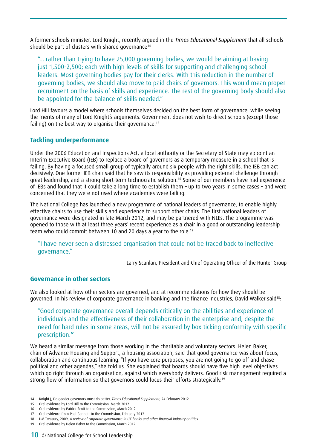A former schools minister, Lord Knight, recently argued in the *Times Educational Supplement* that all schools should be part of clusters with shared governance<sup>14</sup>

"....rather than trying to have 25,000 governing bodies, we would be aiming at having just 1,500-2,500; each with high levels of skills for supporting and challenging school leaders. Most governing bodies pay for their clerks. With this reduction in the number of governing bodies, we should also move to paid chairs of governors. This would mean proper recruitment on the basis of skills and experience. The rest of the governing body should also be appointed for the balance of skills needed."

Lord Hill favours a model where schools themselves decided on the best form of governance, while seeing the merits of many of Lord Knight's arguments. Government does not wish to direct schools (except those failing) on the best way to organise their governance.<sup>15</sup>

# **Tackling underperformance**

Under the 2006 Education and Inspections Act, a local authority or the Secretary of State may appoint an Interim Executive Board (IEB) to replace a board of governors as a temporary measure in a school that is failing. By having a focused small group of typically around six people with the right skills, the IEB can act decisively. One former IEB chair said that he saw its responsibility as providing external challenge through great leadership, and a strong short-term technocratic solution.16 Some of our members have had experience of IEBs and found that it could take a long time to establish them – up to two years in some cases – and were concerned that they were not used where academies were failing.

The National College has launched a new programme of national leaders of governance, to enable highly effective chairs to use their skills and experience to support other chairs. The first national leaders of governance were designated in late March 2012, and may be partnered with NLEs. The programme was opened to those with at least three years' recent experience as a chair in a good or outstanding leadership team who could commit between 10 and 20 days a year to the role.17

"I have never seen a distressed organisation that could not be traced back to ineffective governance."

Larry Scanlan, President and Chief Operating Officer of the Hunter Group

# **Governance in other sectors**

We also looked at how other sectors are governed, and at recommendations for how they should be governed. In his review of corporate governance in banking and the finance industries, David Walker said<sup>18</sup>:

"Good corporate governance overall depends critically on the abilities and experience of individuals and the effectiveness of their collaboration in the enterprise and, despite the need for hard rules in some areas, will not be assured by box-ticking conformity with specific prescription.**"**

We heard a similar message from those working in the charitable and voluntary sectors. Helen Baker, chair of Advance Housing and Support, a housing association, said that good governance was about focus, collaboration and continuous learning. "If you have core purposes, you are not going to go off and chase political and other agendas," she told us. She explained that boards should have five high level objectives which go right through an organisation, against which everybody delivers. Good risk management required a strong flow of information so that governors could focus their efforts strategically.<sup>19</sup>

<sup>14</sup> Knight J, Do gooder governors must do better, *Times Educational Supplement*, 24 February 2012

<sup>15</sup> Oral evidence by Lord Hill to the Commission, March 2012

<sup>16</sup> Oral evidence by Patrick Scott to the Commission, March 2012

<sup>17</sup> Oral evidence from Paul Bennett to the Commission, February 2012

<sup>18</sup> HM Treasury, 2009, *A review of corporate governance in UK banks and other financial industry entities* 

<sup>19</sup> Oral evidence by Helen Baker to the Commission, March 2012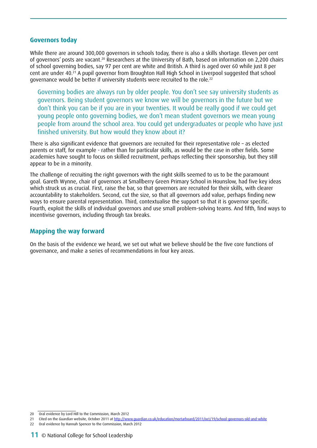#### **Governors today**

While there are around 300,000 governors in schools today, there is also a skills shortage. Eleven per cent of governors' posts are vacant.20 Researchers at the University of Bath, based on information on 2,200 chairs of school governing bodies, say 97 per cent are white and British. A third is aged over 60 while just 8 per cent are under 40.21 A pupil governor from Broughton Hall High School in Liverpool suggested that school governance would be better if university students were recruited to the role.22

Governing bodies are always run by older people. You don't see say university students as governors. Being student governors we know we will be governors in the future but we don't think you can be if you are in your twenties. It would be really good if we could get young people onto governing bodies, we don't mean student governors we mean young people from around the school area. You could get undergraduates or people who have just finished university. But how would they know about it?

There is also significant evidence that governors are recruited for their representative role – as elected parents or staff, for example - rather than for particular skills, as would be the case in other fields. Some academies have sought to focus on skilled recruitment, perhaps reflecting their sponsorship, but they still appear to be in a minority.

The challenge of recruiting the right governors with the right skills seemed to us to be the paramount goal. Gareth Wynne, chair of governors at Smallberry Green Primary School in Hounslow, had five key ideas which struck us as crucial. First, raise the bar, so that governors are recruited for their skills, with clearer accountability to stakeholders. Second, cut the size, so that all governors add value, perhaps finding new ways to ensure parental representation. Third, contextualise the support so that it is governor specific. Fourth, exploit the skills of individual governors and use small problem-solving teams. And fifth, find ways to incentivise governors, including through tax breaks.

# **Mapping the way forward**

On the basis of the evidence we heard, we set out what we believe should be the five core functions of governance, and make a series of recommendations in four key areas.

<sup>20</sup> Oral evidence by Lord Hill to the Commission, March 2012

<sup>21</sup> Cited on the *Guardian* website, October 2011 at<http://www.guardian.co.uk/education/mortarboard/2011/oct/19/school-governors-old-and-white>

<sup>22</sup> Oral evidence by Hannah Spencer to the Commission, March 2012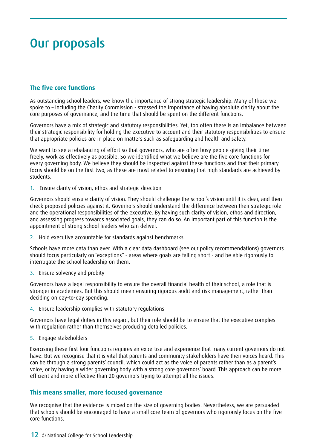# <span id="page-11-0"></span>Our proposals

# **The five core functions**

As outstanding school leaders, we know the importance of strong strategic leadership. Many of those we spoke to – including the Charity Commission - stressed the importance of having absolute clarity about the core purposes of governance, and the time that should be spent on the different functions.

Governors have a mix of strategic and statutory responsibilities. Yet, too often there is an imbalance between their strategic responsibility for holding the executive to account and their statutory responsibilities to ensure that appropriate policies are in place on matters such as safeguarding and health and safety.

We want to see a rebalancing of effort so that governors, who are often busy people giving their time freely, work as effectively as possible. So we identified what we believe are the five core functions for every governing body. We believe they should be inspected against these functions and that their primary focus should be on the first two, as these are most related to ensuring that high standards are achieved by students.

1. Ensure clarity of vision, ethos and strategic direction

Governors should ensure clarity of vision. They should challenge the school's vision until it is clear, and then check proposed policies against it. Governors should understand the difference between their strategic role and the operational responsibilities of the executive. By having such clarity of vision, ethos and direction, and assessing progress towards associated goals, they can do so. An important part of this function is the appointment of strong school leaders who can deliver.

2. Hold executive accountable for standards against benchmarks

Schools have more data than ever. With a clear data dashboard (see our policy recommendations) governors should focus particularly on "exceptions" - areas where goals are falling short - and be able rigorously to interrogate the school leadership on them.

3. Ensure solvency and probity

Governors have a legal responsibility to ensure the overall financial health of their school, a role that is stronger in academies. But this should mean ensuring rigorous audit and risk management, rather than deciding on day-to-day spending.

4. Ensure leadership complies with statutory regulations

Governors have legal duties in this regard, but their role should be to ensure that the executive complies with regulation rather than themselves producing detailed policies.

5. Engage stakeholders

Exercising these first four functions requires an expertise and experience that many current governors do not have. But we recognise that it is vital that parents and community stakeholders have their voices heard. This can be through a strong parents' council, which could act as the voice of parents rather than as a parent's voice, or by having a wider governing body with a strong core governors' board. This approach can be more efficient and more effective than 20 governors trying to attempt all the issues.

# **This means smaller, more focused governance**

We recognise that the evidence is mixed on the size of governing bodies. Nevertheless, we are persuaded that schools should be encouraged to have a small core team of governors who rigorously focus on the five core functions.

12 © National College for School Leadership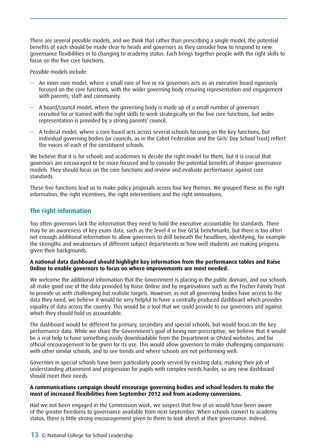There are several possible models, and we think that rather than prescribing a single model, the potential benefits of each should be made clear to heads and governors as they consider how to respond to new governance flexibilities or to changing to academy status. Each brings together people with the right skills to focus on the five core functions.

Possible models include:

- An inner core model, where a small core of five or six governors acts as an executive board rigorously focused on the core functions, with the wider governing body ensuring representation and engagement with parents, staff and community.
- A board/council model, where the governing body is made up of a small number of governors recruited for or trained with the right skills to work strategically on the five core functions, but wider representation is provided by a strong parents' council.
- A federal model, where a core board acts across several schools focusing on the key functions, but individual governing bodies (or councils, as in the Cabot Federation and the Girls' Day School Trust) reflect the voices of each of the constituent schools.

We believe that it is for schools and academies to decide the right model for them, but it is crucial that governors are encouraged to be more focused and to consider the potential benefits of sharper governance models. They should focus on the core functions and review and evaluate performance against core standards.

These five functions lead us to make policy proposals across four key themes. We grouped these as the right information, the right incentives, the right interventions and the right innovations.

# **The right information**

Too often governors lack the information they need to hold the executive accountable for standards. There may be an awareness of key exam data, such as the level 4 or five GCSE benchmarks, but there is too often not enough additional information to allow governors to drill beneath the headlines, identifying, for example the strengths and weaknesses of different subject departments or how well students are making progress given their backgrounds.

#### **A national data dashboard should highlight key information from the performance tables and Raise Online to enable governors to focus on where improvements are most needed.**

We welcome the additional information that the Government is placing in the public domain, and our schools all make good use of the data provided by Raise Online and by organisations such as the Fischer Family Trust to provide us with challenging but realistic targets. However, as not all governing bodies have access to the data they need, we believe it would be very helpful to have a centrally produced dashboard which provides equality of data across the country. This would be a tool that we could provide to our governors and against which they should hold us accountable.

The dashboard would be different for primary, secondary and special schools, but would focus on the key performance data. While we share the Government's goal of being non-prescriptive, we believe that it would be a real help to have something easily downloadable from the Department or Ofsted websites, and for official encouragement to be given for its use. This would allow governors to make challenging comparisons with other similar schools, and to see trends and where schools are not performing well.

Governors in special schools have been particularly poorly served by existing data, making their job of understanding attainment and progression for pupils with complex needs harder, so any new dashboard should meet their needs.

#### **A communications campaign should encourage governing bodies and school leaders to make the most of increased flexibilities from September 2012 and from academy conversions.**

Had we not been engaged in the Commission work, we suspect that few of us would have been aware of the greater freedoms to governance available from next September. When schools convert to academy status, there is little strong encouragement given to them to look afresh at their governance. Indeed,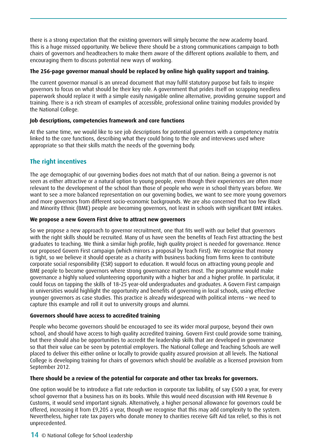there is a strong expectation that the existing governors will simply become the new academy board. This is a huge missed opportunity. We believe there should be a strong communications campaign to both chairs of governors and headteachers to make them aware of the different options available to them, and encouraging them to discuss potential new ways of working.

# **The 256-page governor manual should be replaced by online high quality support and training.**

The current governor manual is an unread document that may fulfil statutory purpose but fails to inspire governors to focus on what should be their key role. A government that prides itself on scrapping needless paperwork should replace it with a simple easily navigable online alternative, providing genuine support and training. There is a rich stream of examples of accessible, professional online training modules provided by the National College.

# **Job descriptions, competencies framework and core functions**

At the same time, we would like to see job descriptions for potential governors with a competency matrix linked to the core functions, describing what they could bring to the role and interviews used where appropriate so that their skills match the needs of the governing body.

# **The right incentives**

The age demographic of our governing bodies does not match that of our nation. Being a governor is not seen as either attractive or a natural option to young people, even though their experiences are often more relevant to the development of the school than those of people who were in school thirty years before. We want to see a more balanced representation on our governing bodies, we want to see more young governors and more governors from different socio-economic backgrounds. We are also concerned that too few Black and Minority Ethnic (BME) people are becoming governors, not least in schools with significant BME intakes.

### **We propose a new Govern First drive to attract new governors**

So we propose a new approach to governor recruitment, one that fits well with our belief that governors with the right skills should be recruited. Many of us have seen the benefits of Teach First attracting the best graduates to teaching. We think a similar high profile, high quality project is needed for governance. Hence our proposed Govern First campaign (which mirrors a proposal by Teach First). We recognise that money is tight, so we believe it should operate as a charity with business backing from firms keen to contribute corporate social responsibility (CSR) support to education. It would focus on attracting young people and BME people to become governors where strong governance matters most. The programme would make governance a highly valued volunteering opportunity with a higher bar and a higher profile. In particular, it could focus on tapping the skills of 18–25 year-old undergraduates and graduates. A Govern First campaign in universities would highlight the opportunity and benefits of governing in local schools, using effective younger governors as case studies. This practice is already widespread with political interns – we need to capture this example and roll it out to university groups and alumni.

### **Governors should have access to accredited training**

People who become governors should be encouraged to see its wider moral purpose, beyond their own school, and should have access to high quality accredited training. Govern First could provide some training, but there should also be opportunities to accredit the leadership skills that are developed in governance so that their value can be seen by potential employers. The National College and Teaching Schools are well placed to deliver this either online or locally to provide quality assured provision at all levels. The National College is developing training for chairs of governors which should be available as a licensed provision from September 2012.

# **There should be a review of the potential for corporate and other tax breaks for governors.**

One option would be to introduce a flat rate reduction in corporate tax liability, of say £500 a year, for every school governor that a business has on its books. While this would need discussion with HM Revenue & Customs, it would send important signals. Alternatively, a higher personal allowance for governors could be offered, increasing it from £9,205 a year, though we recognise that this may add complexity to the system. Nevertheless, higher rate tax payers who donate money to charities receive Gift Aid tax relief, so this is not unprecedented.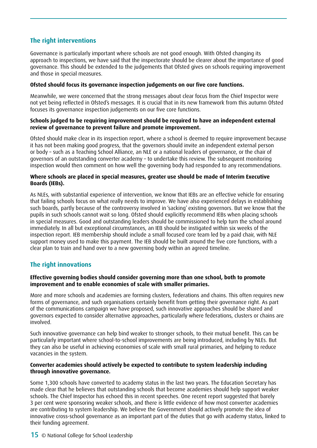# **The right interventions**

Governance is particularly important where schools are not good enough. With Ofsted changing its approach to inspections, we have said that the inspectorate should be clearer about the importance of good governance. This should be extended to the judgements that Ofsted gives on schools requiring improvement and those in special measures.

#### **Ofsted should focus its governance inspection judgements on our five core functions.**

Meanwhile, we were concerned that the strong messages about clear focus from the Chief Inspector were not yet being reflected in Ofsted's messages. It is crucial that in its new framework from this autumn Ofsted focuses its governance inspection judgements on our five core functions.

#### **Schools judged to be requiring improvement should be required to have an independent external review of governance to prevent failure and promote improvement.**

Ofsted should make clear in its inspection report, where a school is deemed to require improvement because it has not been making good progress, that the governors should invite an independent external person or body – such as a Teaching School Alliance, an NLE or a national leaders of governance, or the chair of governors of an outstanding converter academy – to undertake this review. The subsequent monitoring inspection would then comment on how well the governing body had responded to any recommendations.

#### **Where schools are placed in special measures, greater use should be made of Interim Executive Boards (IEBs).**

As NLEs, with substantial experience of intervention, we know that IEBs are an effective vehicle for ensuring that failing schools focus on what really needs to improve. We have also experienced delays in establishing such boards, partly because of the controversy involved in 'sacking' existing governors. But we know that the pupils in such schools cannot wait so long. Ofsted should explicitly recommend IEBs when placing schools in special measures. Good and outstanding leaders should be commissioned to help turn the school around immediately. In all but exceptional circumstances, an IEB should be instigated within six weeks of the inspection report. IEB membership should include a small focused core team led by a paid chair, with NLE support money used to make this payment. The IEB should be built around the five core functions, with a clear plan to train and hand over to a new governing body within an agreed timeline.

# **The right innovations**

#### **Effective governing bodies should consider governing more than one school, both to promote improvement and to enable economies of scale with smaller primaries.**

More and more schools and academies are forming clusters, federations and chains. This often requires new forms of governance, and such organisations certainly benefit from getting their governance right. As part of the communications campaign we have proposed, such innovative approaches should be shared and governors expected to consider alternative approaches, particularly where federations, clusters or chains are involved.

Such innovative governance can help bind weaker to stronger schools, to their mutual benefit. This can be particularly important where school-to-school improvements are being introduced, including by NLEs. But they can also be useful in achieving economies of scale with small rural primaries, and helping to reduce vacancies in the system.

#### **Converter academies should actively be expected to contribute to system leadership including through innovative governance.**

Some 1,300 schools have converted to academy status in the last two years. The Education Secretary has made clear that he believes that outstanding schools that become academies should help support weaker schools. The Chief Inspector has echoed this in recent speeches. One recent report suggested that barely 3 per cent were sponsoring weaker schools, and there is little evidence of how most converter academies are contributing to system leadership. We believe the Government should actively promote the idea of innovative cross-school governance as an important part of the duties that go with academy status, linked to their funding agreement.

15 © National College for School Leadership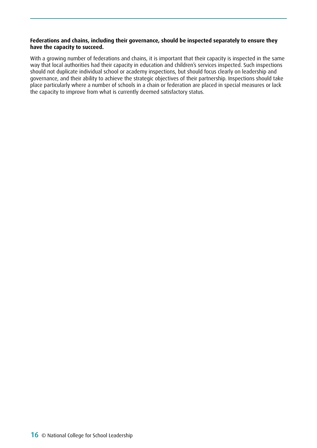### **Federations and chains, including their governance, should be inspected separately to ensure they have the capacity to succeed.**

With a growing number of federations and chains, it is important that their capacity is inspected in the same way that local authorities had their capacity in education and children's services inspected. Such inspections should not duplicate individual school or academy inspections, but should focus clearly on leadership and governance, and their ability to achieve the strategic objectives of their partnership. Inspections should take place particularly where a number of schools in a chain or federation are placed in special measures or lack the capacity to improve from what is currently deemed satisfactory status.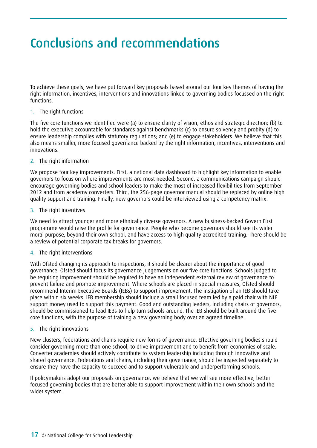# <span id="page-16-0"></span>Conclusions and recommendations

To achieve these goals, we have put forward key proposals based around our four key themes of having the right information, incentives, interventions and innovations linked to governing bodies focussed on the right functions.

### 1. The right functions

The five core functions we identified were (a) to ensure clarity of vision, ethos and strategic direction; (b) to hold the executive accountable for standards against benchmarks (c) to ensure solvency and probity (d) to ensure leadership complies with statutory regulations; and (e) to engage stakeholders. We believe that this also means smaller, more focused governance backed by the right information, incentives, interventions and innovations.

#### 2. The right information

We propose four key improvements. First, a national data dashboard to highlight key information to enable governors to focus on where improvements are most needed. Second, a communications campaign should encourage governing bodies and school leaders to make the most of increased flexibilities from September 2012 and from academy converters. Third, the 256-page governor manual should be replaced by online high quality support and training. Finally, new governors could be interviewed using a competency matrix.

#### 3. The right incentives

We need to attract younger and more ethnically diverse governors. A new business-backed Govern First programme would raise the profile for governance. People who become governors should see its wider moral purpose, beyond their own school, and have access to high quality accredited training. There should be a review of potential corporate tax breaks for governors.

#### 4. The right interventions

With Ofsted changing its approach to inspections, it should be clearer about the importance of good governance. Ofsted should focus its governance judgements on our five core functions. Schools judged to be requiring improvement should be required to have an independent external review of governance to prevent failure and promote improvement. Where schools are placed in special measures, Ofsted should recommend Interim Executive Boards (IEBs) to support improvement. The instigation of an IEB should take place within six weeks. IEB membership should include a small focused team led by a paid chair with NLE support money used to support this payment. Good and outstanding leaders, including chairs of governors, should be commissioned to lead IEBs to help turn schools around. The IEB should be built around the five core functions, with the purpose of training a new governing body over an agreed timeline.

#### 5. The right innovations

New clusters, federations and chains require new forms of governance. Effective governing bodies should consider governing more than one school, to drive improvement and to benefit from economies of scale. Converter academies should actively contribute to system leadership including through innovative and shared governance. Federations and chains, including their governance, should be inspected separately to ensure they have the capacity to succeed and to support vulnerable and underperforming schools.

If policymakers adopt our proposals on governance, we believe that we will see more effective, better focused governing bodies that are better able to support improvement within their own schools and the wider system.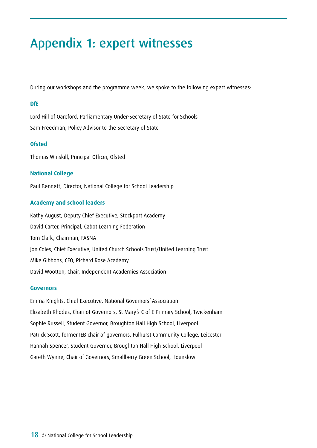# <span id="page-17-0"></span>Appendix 1: expert witnesses

During our workshops and the programme week, we spoke to the following expert witnesses:

### **DfE**

Lord Hill of Oareford, Parliamentary Under-Secretary of State for Schools Sam Freedman, Policy Advisor to the Secretary of State

# **Ofsted**

Thomas Winskill, Principal Officer, Ofsted

# **National College**

Paul Bennett, Director, National College for School Leadership

# **Academy and school leaders**

Kathy August, Deputy Chief Executive, Stockport Academy David Carter, Principal, Cabot Learning Federation Tom Clark, Chairman, FASNA Jon Coles, Chief Executive, United Church Schools Trust/United Learning Trust Mike Gibbons, CEO, Richard Rose Academy David Wootton, Chair, Independent Academies Association

#### **Governors**

Emma Knights, Chief Executive, National Governors' Association Elizabeth Rhodes, Chair of Governors, St Mary's C of E Primary School, Twickenham Sophie Russell, Student Governor, Broughton Hall High School, Liverpool Patrick Scott, former IEB chair of governors, Fulhurst Community College, Leicester Hannah Spencer, Student Governor, Broughton Hall High School, Liverpool Gareth Wynne, Chair of Governors, Smallberry Green School, Hounslow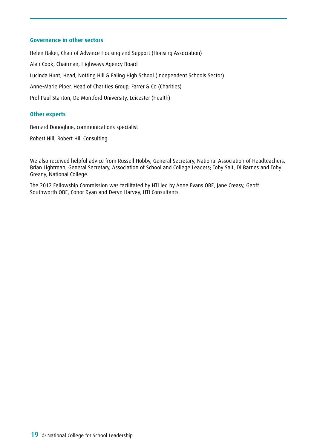#### **Governance in other sectors**

Helen Baker, Chair of Advance Housing and Support (Housing Association) Alan Cook, Chairman, Highways Agency Board Lucinda Hunt, Head, Notting Hill & Ealing High School (Independent Schools Sector) Anne-Marie Piper, Head of Charities Group, Farrer & Co (Charities) Prof Paul Stanton, De Montford University, Leicester (Health)

### **Other experts**

Bernard Donoghue, communications specialist

Robert Hill, Robert Hill Consulting

We also received helpful advice from Russell Hobby, General Secretary, National Association of Headteachers, Brian Lightman, General Secretary, Association of School and College Leaders; Toby Salt, Di Barnes and Toby Greany, National College.

The 2012 Fellowship Commission was facilitated by HTI led by Anne Evans OBE, Jane Creasy, Geoff Southworth OBE, Conor Ryan and Deryn Harvey, HTI Consultants.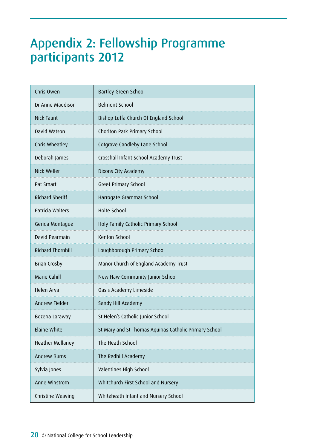# <span id="page-19-0"></span>Appendix 2: Fellowship Programme participants 2012

| Chris Owen               | <b>Bartley Green School</b>                           |
|--------------------------|-------------------------------------------------------|
| Dr Anne Maddison         | <b>Belmont School</b>                                 |
| Nick Taunt               | Bishop Luffa Church Of England School                 |
| David Watson             | Chorlton Park Primary School                          |
| Chris Wheatley           | Cotgrave Candleby Lane School                         |
| Deborah James            | Crosshall Infant School Academy Trust                 |
| Nick Weller              | Dixons City Academy                                   |
| Pat Smart                | Greet Primary School                                  |
| <b>Richard Sheriff</b>   | Harrogate Grammar School                              |
| Patricia Walters         | <b>Holte School</b>                                   |
| Gerida Montague          | Holy Family Catholic Primary School                   |
| David Pearmain           | Kenton School                                         |
| <b>Richard Thornhill</b> | Loughborough Primary School                           |
| Brian Crosby             | Manor Church of England Academy Trust                 |
| Marie Cahill             | New Haw Community Junior School                       |
| Helen Arya               | Oasis Academy Limeside                                |
| Andrew Fielder           | Sandy Hill Academy                                    |
| Bozena Laraway           | St Helen's Catholic Junior School                     |
| Elaine White             | St Mary and St Thomas Aquinas Catholic Primary School |
| Heather Mullaney         | The Heath School                                      |
| Andrew Burns             | The Redhill Academy                                   |
| Sylvia Jones             | Valentines High School                                |
| Anne Winstrom            | Whitchurch First School and Nursery                   |
| Christine Weaving        | Whiteheath Infant and Nursery School                  |